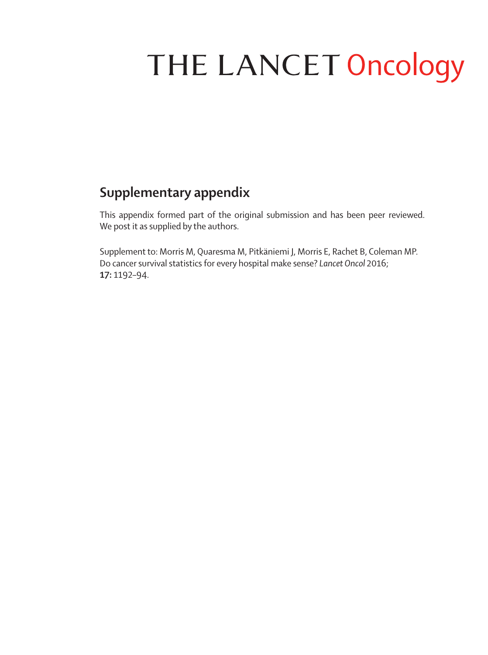## THE LANCET Oncology

## **Supplementary appendix**

This appendix formed part of the original submission and has been peer reviewed. We post it as supplied by the authors.

Supplement to: Morris M, Quaresma M, Pitkäniemi J, Morris E, Rachet B, Coleman MP. Do cancer survival statistics for every hospital make sense? *Lancet Oncol* 2016; **17:** 1192–94.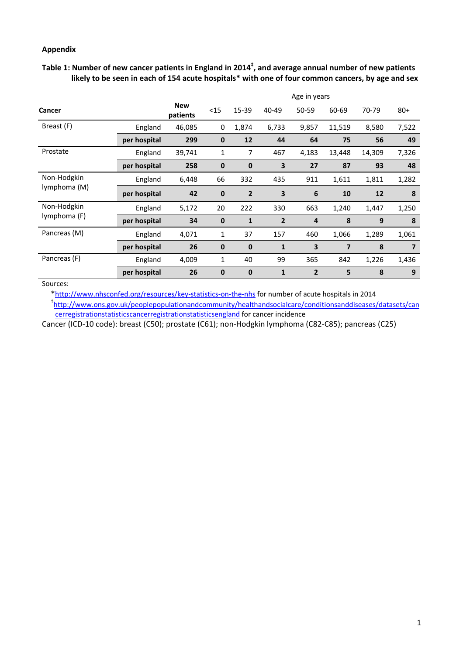## **Appendix**

Table 1: Number of new cancer patients in England in 2014<sup>‡</sup>, and average annual number of new patients likely to be seen in each of 154 acute hospitals\* with one of four common cancers, by age and sex

|                             |              |                        | Age in years |              |                |                 |                         |        |                |
|-----------------------------|--------------|------------------------|--------------|--------------|----------------|-----------------|-------------------------|--------|----------------|
| Cancer                      |              | <b>New</b><br>patients | <15          | 15-39        | 40-49          | 50-59           | 60-69                   | 70-79  | $80 +$         |
| Breast (F)                  | England      | 46,085                 | 0            | 1,874        | 6,733          | 9,857           | 11,519                  | 8,580  | 7,522          |
|                             | per hospital | 299                    | $\mathbf 0$  | 12           | 44             | 64              | 75                      | 56     | 49             |
| Prostate                    | England      | 39,741                 | 1            | 7            | 467            | 4,183           | 13,448                  | 14,309 | 7,326          |
|                             | per hospital | 258                    | $\mathbf 0$  | $\bf{0}$     | 3              | 27              | 87                      | 93     | 48             |
| Non-Hodgkin<br>lymphoma (M) | England      | 6,448                  | 66           | 332          | 435            | 911             | 1,611                   | 1,811  | 1,282          |
|                             | per hospital | 42                     | 0            | $\mathbf{2}$ | 3              | $6\phantom{1}6$ | 10                      | 12     | 8              |
| Non-Hodgkin<br>lymphoma (F) | England      | 5,172                  | 20           | 222          | 330            | 663             | 1,240                   | 1,447  | 1,250          |
|                             | per hospital | 34                     | $\mathbf 0$  | $\mathbf{1}$ | $\overline{2}$ | $\overline{4}$  | 8                       | 9      | 8              |
| Pancreas (M)                | England      | 4,071                  | 1            | 37           | 157            | 460             | 1,066                   | 1,289  | 1,061          |
|                             | per hospital | 26                     | $\mathbf 0$  | $\bf{0}$     | $\mathbf{1}$   | 3               | $\overline{\mathbf{z}}$ | 8      | $\overline{7}$ |
| Pancreas (F)                | England      | 4,009                  | 1            | 40           | 99             | 365             | 842                     | 1,226  | 1,436          |
|                             | per hospital | 26                     | $\mathbf 0$  | $\bf{0}$     | 1              | $\overline{2}$  | 5                       | 8      | 9              |

## Sources:

\*http://www.nhsconfed.org/resources/key‐statistics‐on‐the‐nhs for number of acute hospitals in 2014 ‡ http://www.ons.gov.uk/peoplepopulationandcommunity/healthandsocialcare/conditionsanddiseases/datasets/can cerregistrationstatisticscancerregistrationstatisticsengland for cancer incidence

Cancer (ICD‐10 code): breast (C50); prostate (C61); non‐Hodgkin lymphoma (C82‐C85); pancreas (C25)